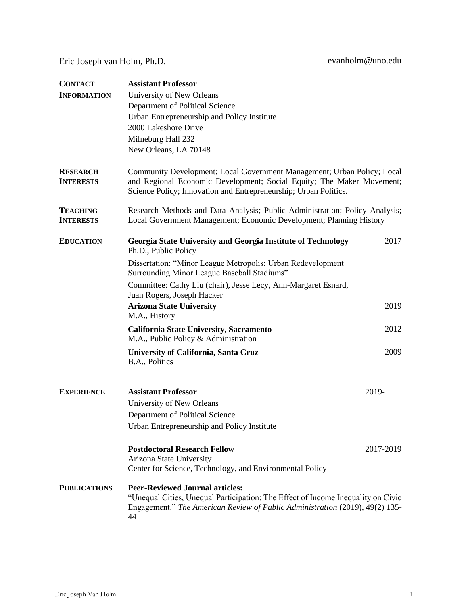Eric Joseph van Holm, Ph.D. evanholm@uno.edu

| <b>CONTACT</b><br><b>INFORMATION</b> | <b>Assistant Professor</b><br>University of New Orleans<br>Department of Political Science<br>Urban Entrepreneurship and Policy Institute<br>2000 Lakeshore Drive<br>Milneburg Hall 232<br>New Orleans, LA 70148     |           |
|--------------------------------------|----------------------------------------------------------------------------------------------------------------------------------------------------------------------------------------------------------------------|-----------|
| <b>RESEARCH</b><br><b>INTERESTS</b>  | Community Development; Local Government Management; Urban Policy; Local<br>and Regional Economic Development; Social Equity; The Maker Movement;<br>Science Policy; Innovation and Entrepreneurship; Urban Politics. |           |
| <b>TEACHING</b><br><b>INTERESTS</b>  | Research Methods and Data Analysis; Public Administration; Policy Analysis;<br>Local Government Management; Economic Development; Planning History                                                                   |           |
| <b>EDUCATION</b>                     | Georgia State University and Georgia Institute of Technology<br>Ph.D., Public Policy                                                                                                                                 | 2017      |
|                                      | Dissertation: "Minor League Metropolis: Urban Redevelopment<br>Surrounding Minor League Baseball Stadiums"                                                                                                           |           |
|                                      | Committee: Cathy Liu (chair), Jesse Lecy, Ann-Margaret Esnard,<br>Juan Rogers, Joseph Hacker                                                                                                                         |           |
|                                      | <b>Arizona State University</b><br>M.A., History                                                                                                                                                                     | 2019      |
|                                      | <b>California State University, Sacramento</b><br>M.A., Public Policy & Administration                                                                                                                               | 2012      |
|                                      | University of California, Santa Cruz<br>B.A., Politics                                                                                                                                                               | 2009      |
| <b>EXPERIENCE</b>                    | <b>Assistant Professor</b><br>University of New Orleans<br>Department of Political Science<br>Urban Entrepreneurship and Policy Institute                                                                            | 2019-     |
|                                      | <b>Postdoctoral Research Fellow</b><br>Arizona State University<br>Center for Science, Technology, and Environmental Policy                                                                                          | 2017-2019 |
| <b>PUBLICATIONS</b>                  | <b>Peer-Reviewed Journal articles:</b><br>"Unequal Cities, Unequal Participation: The Effect of Income Inequality on Civic<br>Engagement." The American Review of Public Administration (2019), 49(2) 135-<br>44     |           |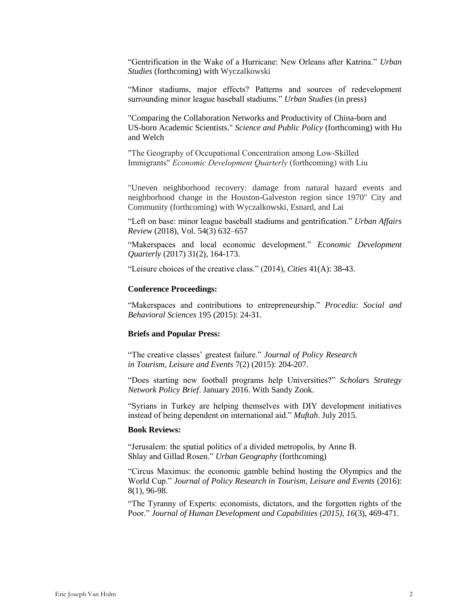"Gentrification in the Wake of a Hurricane: New Orleans after Katrina." *Urban Studies* (forthcoming) with Wyczalkowski

"Minor stadiums, major effects? Patterns and sources of redevelopment surrounding minor league baseball stadiums." *Urban Studies* (in press)

"Comparing the Collaboration Networks and Productivity of China-born and US-born Academic Scientists." *Science and Public Policy* (forthcoming) with Hu and Welch

"The Geography of Occupational Concentration among Low-Skilled Immigrants" *Economic Development Quarterly* (forthcoming) with Liu

"Uneven neighborhood recovery: damage from natural hazard events and neighborhood change in the Houston-Galveston region since 1970" City and Community (forthcoming) with Wyczalkowski, Esnard, and Lai

"Left on base: minor league baseball stadiums and gentrification." *Urban Affairs Review* (2018), Vol. 54(3) 632–657

"Makerspaces and local economic development." *Economic Development Quarterly* (2017) 31(2), 164-173.

"Leisure choices of the creative class." (2014), *Cities* 41(A): 38-43.

## **Conference Proceedings:**

"Makerspaces and contributions to entrepreneurship." *Procedia: Social and Behavioral Sciences* 195 (2015): 24-31.

## **Briefs and Popular Press:**

"The creative classes' greatest failure." *Journal of Policy Research in Tourism, Leisure and Events* 7(2) (2015): 204-207.

"Does starting new football programs help Universities?" *Scholars Strategy Network Policy Brief*. January 2016. With Sandy Zook.

"Syrians in Turkey are helping themselves with DIY development initiatives instead of being dependent on international aid." *Muftah*. July 2015.

## **Book Reviews:**

"Jerusalem: the spatial politics of a divided metropolis, by Anne B. Shlay and Gillad Rosen." *Urban Geography* (forthcoming)

"Circus Maximus: the economic gamble behind hosting the Olympics and the World Cup." *Journal of Policy Research in Tourism, Leisure and Events* (2016): 8(1), 96-98.

"The Tyranny of Experts: economists, dictators, and the forgotten rights of the Poor." *Journal of Human Development and Capabilities (2015), 16*(3), 469-471.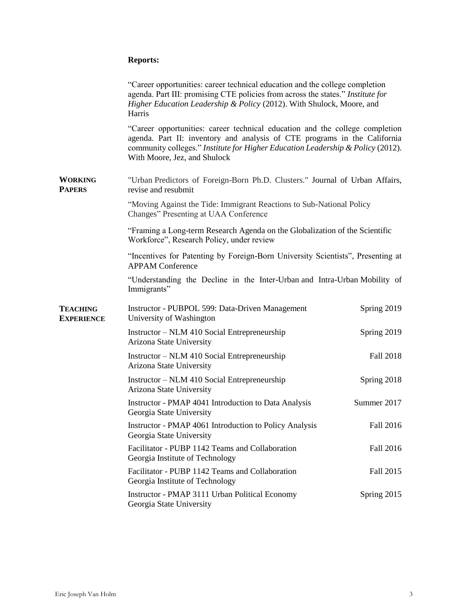## **Reports:**

|                                      | "Career opportunities: career technical education and the college completion<br>agenda. Part III: promising CTE policies from across the states." Institute for<br>Higher Education Leadership & Policy (2012). With Shulock, Moore, and<br>Harris                           |             |  |
|--------------------------------------|------------------------------------------------------------------------------------------------------------------------------------------------------------------------------------------------------------------------------------------------------------------------------|-------------|--|
|                                      | "Career opportunities: career technical education and the college completion<br>agenda. Part II: inventory and analysis of CTE programs in the California<br>community colleges." Institute for Higher Education Leadership & Policy (2012).<br>With Moore, Jez, and Shulock |             |  |
| <b>WORKING</b><br><b>PAPERS</b>      | "Urban Predictors of Foreign-Born Ph.D. Clusters." Journal of Urban Affairs,<br>revise and resubmit                                                                                                                                                                          |             |  |
|                                      | "Moving Against the Tide: Immigrant Reactions to Sub-National Policy<br>Changes" Presenting at UAA Conference                                                                                                                                                                |             |  |
|                                      | "Framing a Long-term Research Agenda on the Globalization of the Scientific<br>Workforce", Research Policy, under review                                                                                                                                                     |             |  |
|                                      | "Incentives for Patenting by Foreign-Born University Scientists", Presenting at<br><b>APPAM Conference</b>                                                                                                                                                                   |             |  |
|                                      | "Understanding the Decline in the Inter-Urban and Intra-Urban Mobility of<br>Immigrants"                                                                                                                                                                                     |             |  |
| <b>TEACHING</b><br><b>EXPERIENCE</b> | Instructor - PUBPOL 599: Data-Driven Management<br>University of Washington                                                                                                                                                                                                  | Spring 2019 |  |
|                                      | Instructor – NLM 410 Social Entrepreneurship<br>Arizona State University                                                                                                                                                                                                     | Spring 2019 |  |
|                                      | Instructor – NLM 410 Social Entrepreneurship<br>Arizona State University                                                                                                                                                                                                     | Fall 2018   |  |
|                                      | Instructor – NLM 410 Social Entrepreneurship<br>Arizona State University                                                                                                                                                                                                     | Spring 2018 |  |
|                                      | Instructor - PMAP 4041 Introduction to Data Analysis<br>Georgia State University                                                                                                                                                                                             | Summer 2017 |  |
|                                      | Instructor - PMAP 4061 Introduction to Policy Analysis<br>Georgia State University                                                                                                                                                                                           | Fall 2016   |  |
|                                      | Facilitator - PUBP 1142 Teams and Collaboration<br>Georgia Institute of Technology                                                                                                                                                                                           | Fall 2016   |  |
|                                      | Facilitator - PUBP 1142 Teams and Collaboration<br>Georgia Institute of Technology                                                                                                                                                                                           | Fall 2015   |  |
|                                      | Instructor - PMAP 3111 Urban Political Economy<br>Georgia State University                                                                                                                                                                                                   | Spring 2015 |  |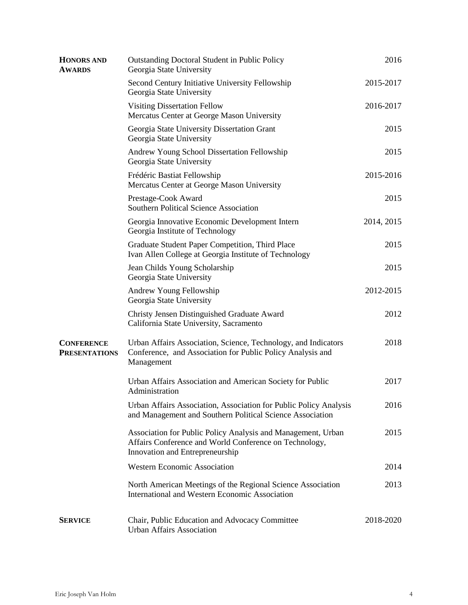| <b>HONORS AND</b><br><b>AWARDS</b>        | <b>Outstanding Doctoral Student in Public Policy</b><br>Georgia State University                                                                          | 2016       |
|-------------------------------------------|-----------------------------------------------------------------------------------------------------------------------------------------------------------|------------|
|                                           | Second Century Initiative University Fellowship<br>Georgia State University                                                                               | 2015-2017  |
|                                           | <b>Visiting Dissertation Fellow</b><br>Mercatus Center at George Mason University                                                                         | 2016-2017  |
|                                           | Georgia State University Dissertation Grant<br>Georgia State University                                                                                   | 2015       |
|                                           | Andrew Young School Dissertation Fellowship<br>Georgia State University                                                                                   | 2015       |
|                                           | Frédéric Bastiat Fellowship<br>Mercatus Center at George Mason University                                                                                 | 2015-2016  |
|                                           | Prestage-Cook Award<br>Southern Political Science Association                                                                                             | 2015       |
|                                           | Georgia Innovative Economic Development Intern<br>Georgia Institute of Technology                                                                         | 2014, 2015 |
|                                           | Graduate Student Paper Competition, Third Place<br>Ivan Allen College at Georgia Institute of Technology                                                  | 2015       |
|                                           | Jean Childs Young Scholarship<br>Georgia State University                                                                                                 | 2015       |
|                                           | Andrew Young Fellowship<br>Georgia State University                                                                                                       | 2012-2015  |
|                                           | Christy Jensen Distinguished Graduate Award<br>California State University, Sacramento                                                                    | 2012       |
| <b>CONFERENCE</b><br><b>PRESENTATIONS</b> | Urban Affairs Association, Science, Technology, and Indicators<br>Conference, and Association for Public Policy Analysis and<br>Management                | 2018       |
|                                           | Urban Affairs Association and American Society for Public<br>Administration                                                                               | 2017       |
|                                           | Urban Affairs Association, Association for Public Policy Analysis<br>and Management and Southern Political Science Association                            | 2016       |
|                                           | Association for Public Policy Analysis and Management, Urban<br>Affairs Conference and World Conference on Technology,<br>Innovation and Entrepreneurship | 2015       |
|                                           | <b>Western Economic Association</b>                                                                                                                       | 2014       |
|                                           | North American Meetings of the Regional Science Association<br>International and Western Economic Association                                             | 2013       |
| <b>SERVICE</b>                            | Chair, Public Education and Advocacy Committee<br><b>Urban Affairs Association</b>                                                                        | 2018-2020  |